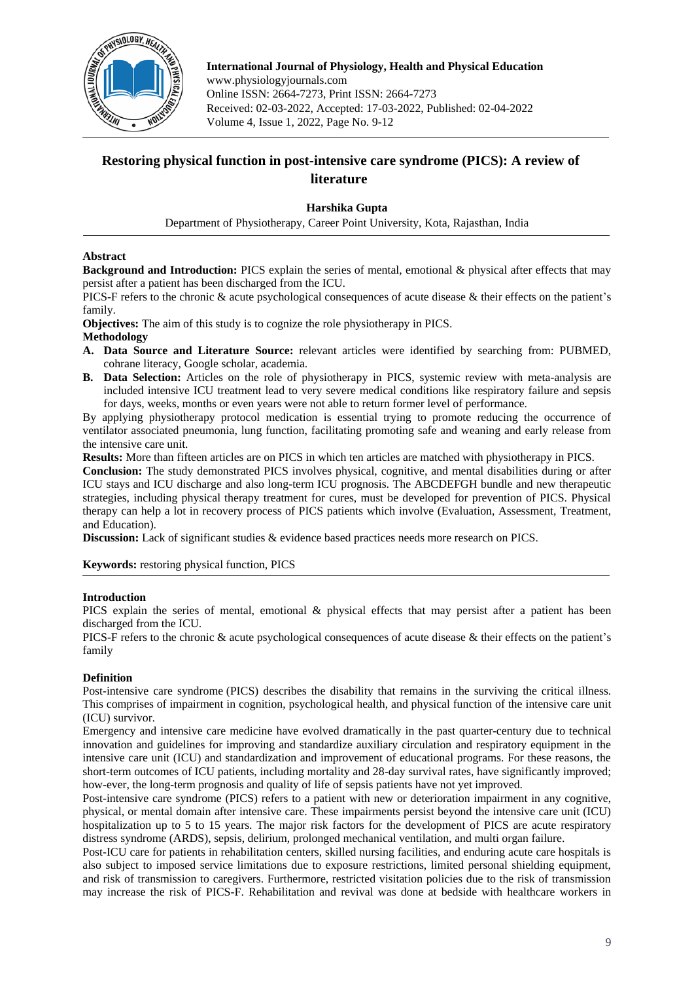

**International Journal of Physiology, Health and Physical Education** www.physiologyjournals.com Online ISSN: 2664-7273, Print ISSN: 2664-7273 Received: 02-03-2022, Accepted: 17-03-2022, Published: 02-04-2022 Volume 4, Issue 1, 2022, Page No. 9-12

# **Restoring physical function in post-intensive care syndrome (PICS): A review of literature**

## **Harshika Gupta**

Department of Physiotherapy, Career Point University, Kota, Rajasthan, India

## **Abstract**

**Background and Introduction:** PICS explain the series of mental, emotional & physical after effects that may persist after a patient has been discharged from the ICU.

PICS-F refers to the chronic & acute psychological consequences of acute disease & their effects on the patient's family.

**Objectives:** The aim of this study is to cognize the role physiotherapy in PICS.

## **Methodology**

- **A. Data Source and Literature Source:** relevant articles were identified by searching from: PUBMED, cohrane literacy, Google scholar, academia.
- **B. Data Selection:** Articles on the role of physiotherapy in PICS, systemic review with meta-analysis are included intensive ICU treatment lead to very severe medical conditions like respiratory failure and sepsis for days, weeks, months or even years were not able to return former level of performance.

By applying physiotherapy protocol medication is essential trying to promote reducing the occurrence of ventilator associated pneumonia, lung function, facilitating promoting safe and weaning and early release from the intensive care unit.

**Results:** More than fifteen articles are on PICS in which ten articles are matched with physiotherapy in PICS.

**Conclusion:** The study demonstrated PICS involves physical, cognitive, and mental disabilities during or after ICU stays and ICU discharge and also long-term ICU prognosis. The ABCDEFGH bundle and new therapeutic strategies, including physical therapy treatment for cures, must be developed for prevention of PICS. Physical therapy can help a lot in recovery process of PICS patients which involve (Evaluation, Assessment, Treatment, and Education).

**Discussion:** Lack of significant studies & evidence based practices needs more research on PICS.

**Keywords:** restoring physical function, PICS

## **Introduction**

PICS explain the series of mental, emotional & physical effects that may persist after a patient has been discharged from the ICU.

PICS-F refers to the chronic & acute psychological consequences of acute disease & their effects on the patient's family

## **Definition**

Post-intensive care syndrome (PICS) describes the disability that remains in the surviving the critical illness. This comprises of impairment in cognition, psychological health, and physical function of the intensive care unit (ICU) survivor.

Emergency and intensive care medicine have evolved dramatically in the past quarter-century due to technical innovation and guidelines for improving and standardize auxiliary circulation and respiratory equipment in the intensive care unit (ICU) and standardization and improvement of educational programs. For these reasons, the short-term outcomes of ICU patients, including mortality and 28-day survival rates, have significantly improved; how-ever, the long-term prognosis and quality of life of sepsis patients have not yet improved.

Post-intensive care syndrome (PICS) refers to a patient with new or deterioration impairment in any cognitive, physical, or mental domain after intensive care. These impairments persist beyond the intensive care unit (ICU) hospitalization up to 5 to 15 years. The major risk factors for the development of PICS are acute respiratory distress syndrome (ARDS), sepsis, delirium, prolonged mechanical ventilation, and multi organ failure.

Post-ICU care for patients in rehabilitation centers, skilled nursing facilities, and enduring acute care hospitals is also subject to imposed service limitations due to exposure restrictions, limited personal shielding equipment, and risk of transmission to caregivers. Furthermore, restricted visitation policies due to the risk of transmission may increase the risk of PICS-F. Rehabilitation and revival was done at bedside with healthcare workers in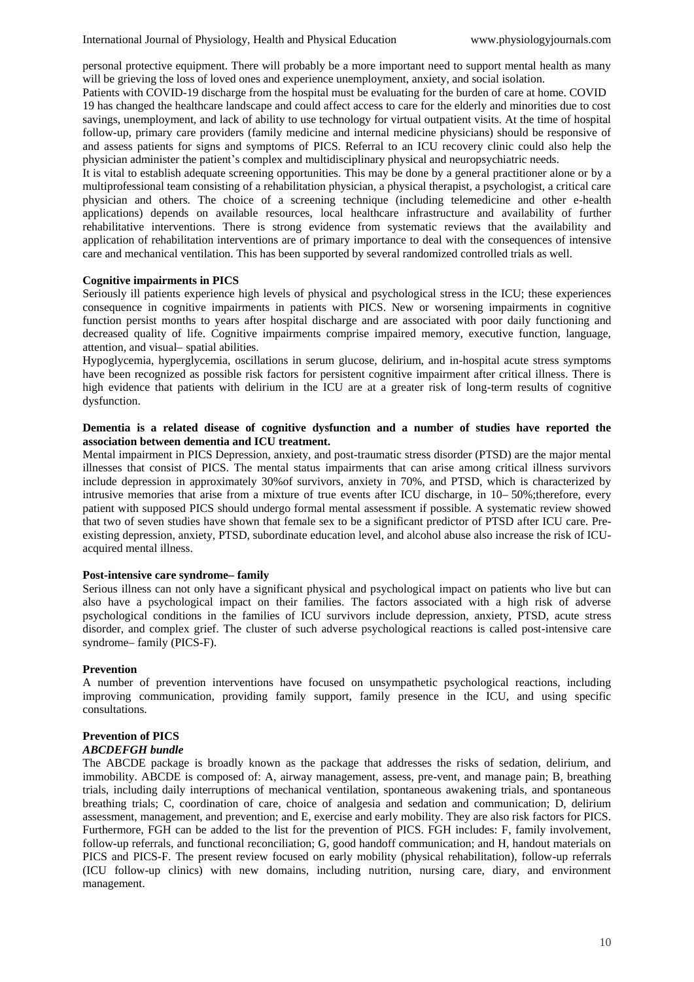personal protective equipment. There will probably be a more important need to support mental health as many will be grieving the loss of loved ones and experience unemployment, anxiety, and social isolation.

Patients with COVID-19 discharge from the hospital must be evaluating for the burden of care at home. COVID 19 has changed the healthcare landscape and could affect access to care for the elderly and minorities due to cost savings, unemployment, and lack of ability to use technology for virtual outpatient visits. At the time of hospital follow-up, primary care providers (family medicine and internal medicine physicians) should be responsive of and assess patients for signs and symptoms of PICS. Referral to an ICU recovery clinic could also help the physician administer the patient's complex and multidisciplinary physical and neuropsychiatric needs.

It is vital to establish adequate screening opportunities. This may be done by a general practitioner alone or by a multiprofessional team consisting of a rehabilitation physician, a physical therapist, a psychologist, a critical care physician and others. The choice of a screening technique (including telemedicine and other e-health applications) depends on available resources, local healthcare infrastructure and availability of further rehabilitative interventions. There is strong evidence from systematic reviews that the availability and application of rehabilitation interventions are of primary importance to deal with the consequences of intensive care and mechanical ventilation. This has been supported by several randomized controlled trials as well.

### **Cognitive impairments in PICS**

Seriously ill patients experience high levels of physical and psychological stress in the ICU; these experiences consequence in cognitive impairments in patients with PICS. New or worsening impairments in cognitive function persist months to years after hospital discharge and are associated with poor daily functioning and decreased quality of life. Cognitive impairments comprise impaired memory, executive function, language, attention, and visual– spatial abilities.

Hypoglycemia, hyperglycemia, oscillations in serum glucose, delirium, and in-hospital acute stress symptoms have been recognized as possible risk factors for persistent cognitive impairment after critical illness. There is high evidence that patients with delirium in the ICU are at a greater risk of long-term results of cognitive dysfunction.

### **Dementia is a related disease of cognitive dysfunction and a number of studies have reported the association between dementia and ICU treatment.**

Mental impairment in PICS Depression, anxiety, and post-traumatic stress disorder (PTSD) are the major mental illnesses that consist of PICS. The mental status impairments that can arise among critical illness survivors include depression in approximately 30%of survivors, anxiety in 70%, and PTSD, which is characterized by intrusive memories that arise from a mixture of true events after ICU discharge, in 10–50%; therefore, every patient with supposed PICS should undergo formal mental assessment if possible. A systematic review showed that two of seven studies have shown that female sex to be a significant predictor of PTSD after ICU care. Preexisting depression, anxiety, PTSD, subordinate education level, and alcohol abuse also increase the risk of ICUacquired mental illness.

#### **Post-intensive care syndrome– family**

Serious illness can not only have a significant physical and psychological impact on patients who live but can also have a psychological impact on their families. The factors associated with a high risk of adverse psychological conditions in the families of ICU survivors include depression, anxiety, PTSD, acute stress disorder, and complex grief. The cluster of such adverse psychological reactions is called post-intensive care syndrome– family (PICS-F).

### **Prevention**

A number of prevention interventions have focused on unsympathetic psychological reactions, including improving communication, providing family support, family presence in the ICU, and using specific consultations.

# **Prevention of PICS**

# *ABCDEFGH bundle*

The ABCDE package is broadly known as the package that addresses the risks of sedation, delirium, and immobility. ABCDE is composed of: A, airway management, assess, pre-vent, and manage pain; B, breathing trials, including daily interruptions of mechanical ventilation, spontaneous awakening trials, and spontaneous breathing trials; C, coordination of care, choice of analgesia and sedation and communication; D, delirium assessment, management, and prevention; and E, exercise and early mobility. They are also risk factors for PICS. Furthermore, FGH can be added to the list for the prevention of PICS. FGH includes: F, family involvement, follow-up referrals, and functional reconciliation; G, good handoff communication; and H, handout materials on PICS and PICS-F. The present review focused on early mobility (physical rehabilitation), follow-up referrals (ICU follow-up clinics) with new domains, including nutrition, nursing care, diary, and environment management.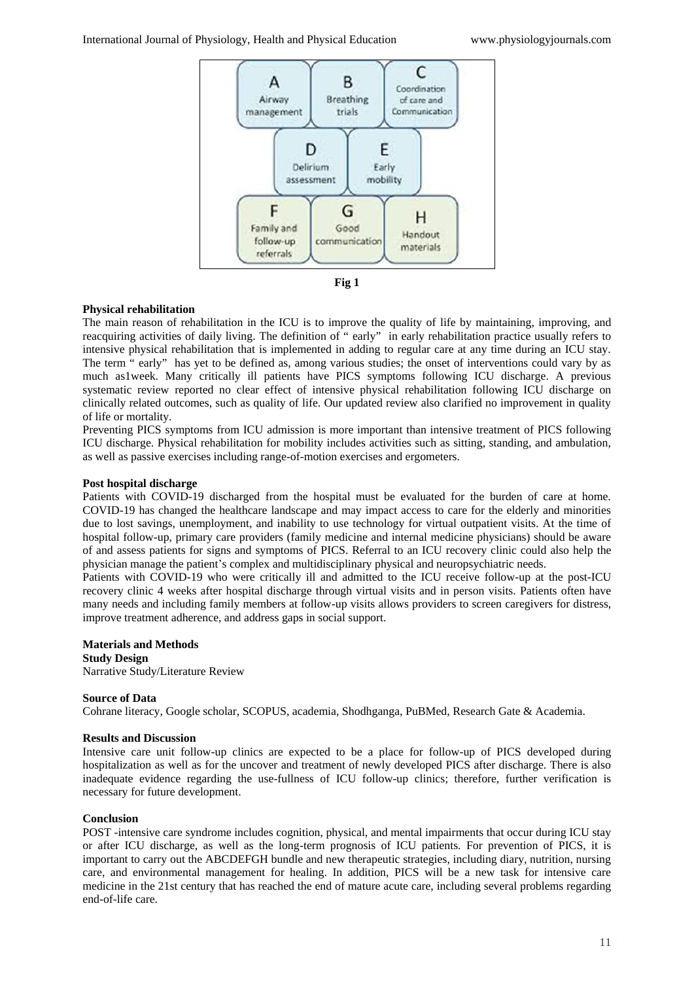



### **Physical rehabilitation**

The main reason of rehabilitation in the ICU is to improve the quality of life by maintaining, improving, and reacquiring activities of daily living. The definition of " early" in early rehabilitation practice usually refers to intensive physical rehabilitation that is implemented in adding to regular care at any time during an ICU stay. The term " early" has yet to be defined as, among various studies; the onset of interventions could vary by as much as1week. Many critically ill patients have PICS symptoms following ICU discharge. A previous systematic review reported no clear effect of intensive physical rehabilitation following ICU discharge on clinically related outcomes, such as quality of life. Our updated review also clarified no improvement in quality of life or mortality.

Preventing PICS symptoms from ICU admission is more important than intensive treatment of PICS following ICU discharge. Physical rehabilitation for mobility includes activities such as sitting, standing, and ambulation, as well as passive exercises including range-of-motion exercises and ergometers.

### **Post hospital discharge**

Patients with COVID-19 discharged from the hospital must be evaluated for the burden of care at home. COVID-19 has changed the healthcare landscape and may impact access to care for the elderly and minorities due to lost savings, unemployment, and inability to use technology for virtual outpatient visits. At the time of hospital follow-up, primary care providers (family medicine and internal medicine physicians) should be aware of and assess patients for signs and symptoms of PICS. Referral to an ICU recovery clinic could also help the physician manage the patient's complex and multidisciplinary physical and neuropsychiatric needs.

Patients with COVID-19 who were critically ill and admitted to the ICU receive follow-up at the post-ICU recovery clinic 4 weeks after hospital discharge through virtual visits and in person visits. Patients often have many needs and including family members at follow-up visits allows providers to screen caregivers for distress, improve treatment adherence, and address gaps in social support.

**Materials and Methods Study Design** Narrative Study/Literature Review

#### **Source of Data**

Cohrane literacy, Google scholar, SCOPUS, academia, Shodhganga, PuBMed, Research Gate & Academia.

#### **Results and Discussion**

Intensive care unit follow-up clinics are expected to be a place for follow-up of PICS developed during hospitalization as well as for the uncover and treatment of newly developed PICS after discharge. There is also inadequate evidence regarding the use-fullness of ICU follow-up clinics; therefore, further verification is necessary for future development.

### **Conclusion**

POST -intensive care syndrome includes cognition, physical, and mental impairments that occur during ICU stay or after ICU discharge, as well as the long-term prognosis of ICU patients. For prevention of PICS, it is important to carry out the ABCDEFGH bundle and new therapeutic strategies, including diary, nutrition, nursing care, and environmental management for healing. In addition, PICS will be a new task for intensive care medicine in the 21st century that has reached the end of mature acute care, including several problems regarding end-of-life care.